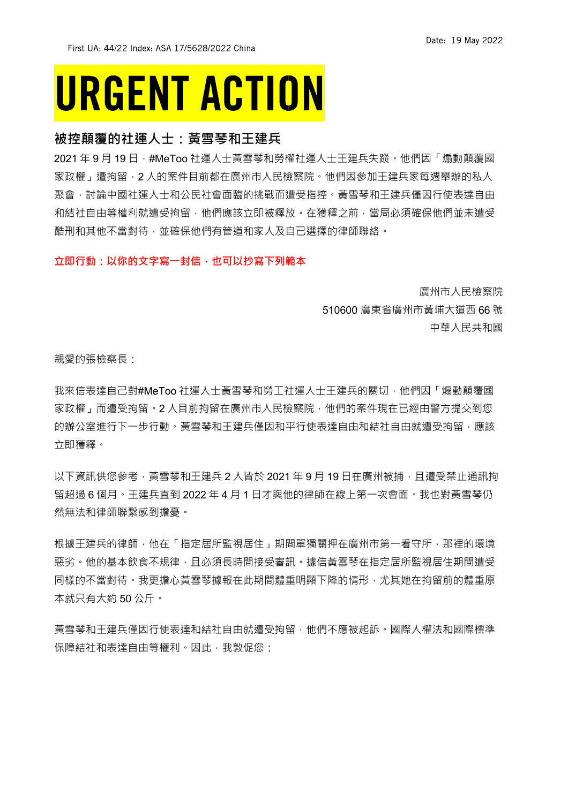## **URGENT ACTION**

### **被控顛覆的社運人士:黃雪琴和王建兵**

2021 年 9 月 19 日, #MeToo 社運人士黃雪琴和勞權社運人士王建兵失蹤。他們因「煽動顛覆國 家政權,遭拘留,2 人的案件目前都在廣州市人民檢察院。他們因參加干建兵家每週舉辦的私人 聚會,討論中國社運人士和公民社會面臨的挑戰而遭受指控。黃雪琴和王建兵僅因行使表達自由 和結社自由等權利就遭受拘留,他們應該立即被釋放。在獲釋之前,當局必須確保他們並未遭受 酷刑和其他不當對待,並確保他們有管道和家人及自己選擇的律師聯絡。

#### **立即行動:以你的文字寫一封信,也可以抄寫下列範本**

廣州市人民檢察院 510600 廣東省廣州市黃埔大道西 66 號 中華人民共和國

親愛的張檢察長:

我來信表達自己對#MeToo 社運人士黃雪琴和勞工社運人士王建兵的關切,他們因「煽動顛覆國 家政權,而遭受拘留。2 人目前拘留在廣州市人民檢察院,他們的案件現在已經由警方提交到您 的辦公室進行下一步行動。黃雪琴和王建兵僅因和平行使表達自由和結社自由就遭受拘留,應該 立即獲釋。

以下資訊供您參考,黃雪琴和王建兵 2 人皆於 2021 年 9 月 19 日在廣州被捕,且遭受禁止通訊拘 留超過 6 個月。王建兵直到 2022 年 4 月 1 日才與他的律師在線上第一次會面。我也對黃雪琴仍 然無法和律師聯繫感到擔憂。

根據王建兵的律師,他在「指定居所監視居住」期間單獨關押在廣州市第一看守所,那裡的環境 惡劣。他的基本飲食不規律,且必須長時間接受審訊。據信黃雪琴在指定居所監視居住期間遭受 同樣的不當對待。我更擔心黃雪琴據報在此期間體重明顯下降的情形,尤其她在拘留前的體重原 本就只有大約 50 公斤。

黃雪琴和王建兵僅因行使表達和結社自由就遭受拘留,他們不應被起訴。國際人權法和國際標準 保障結社和表達自由等權利。因此,我敦促您: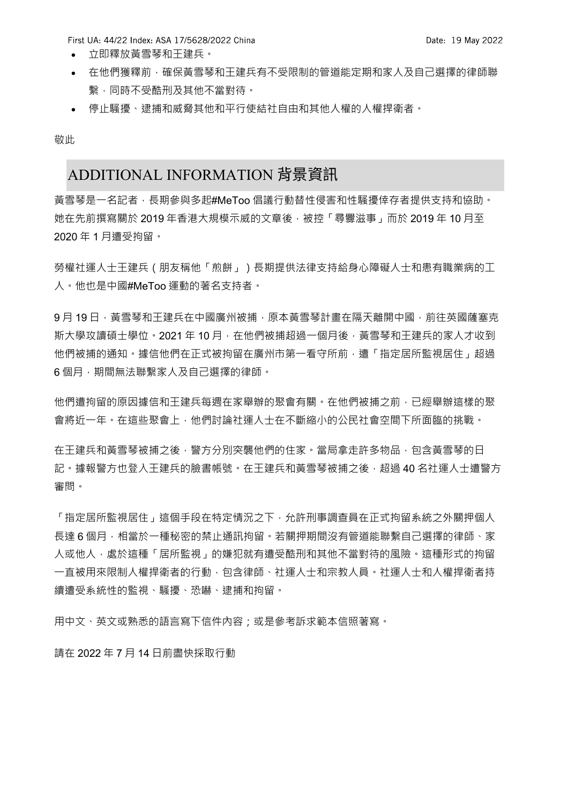First UA: 44/22 Index: ASA 17/5628/2022 China

- 立即釋放黃雪琴和王建兵。
- 在他們獲釋前,確保黃雪琴和王建兵有不受限制的管道能定期和家人及自己選擇的律師聯 繫,同時不受酷刑及其他不當對待。
- 停止騷擾、逮捕和威脅其他和平行使結社自由和其他人權的人權捍衛者。

敬此

## ADDITIONAL INFORMATION 背景資訊

黃雪琴是一名記者,長期參與多起#MeToo 倡議行動替性侵害和性騷擾倖存者提供支持和協助。 她在先前撰寫關於 2019 年香港大規模示威的文章後,被控「尋釁滋事」而於 2019 年 10 月至 2020 年 1 月遭受拘留。

勞權社運人士王建兵(朋友稱他「煎餅」)長期提供法律支持給身心障礙人士和患有職業病的工 人。他也是中國#MeToo 運動的著名支持者。

9月 19日,黃雪琴和王建兵在中國廣州被捕,原本黃雪琴計畫在隔天離開中國,前往英國薩塞克 斯大學攻讀碩士學位。2021 年 10 月 · 在他們被捕超過一個月後 · 黃雪琴和王建兵的家人才收到 他們被捕的涌知。據信他們在正式被拘留在廣州市第一看守所前,遭「指定居所監視居住」超過 6個月,期間無法聯繫家人及自己選擇的律師。

他們遭拘留的原因據信和王建兵每週在家舉辦的聚會有關。在他們被捕之前,已經舉辦這樣的聚 會將近一年。在這些聚會上,他們討論社運人士在不斷縮小的公民社會空間下所面臨的挑戰。

在王建兵和黃雪琴被捕之後,警方分別突襲他們的住家。當局拿走許多物品,包含黃雪琴的日 記。據報警方也登入王建兵的臉書帳號。在王建兵和黃雪琴被捕之後,超過 40 名社運人士遭警方 審問。

「指定居所監視居住」這個手段在特定情況之下,允許刑事調查員在正式拘留系統之外關押個人 長達 6 個月,相當於一種秘密的禁止通訊拘留。若關押期間沒有管道能聯繫自己選擇的律師、家 人或他人,處於這種「居所監視」的嫌犯就有遭受酷刑和其他不當對待的風險。這種形式的拘留 一直被用來限制人權捍衛者的行動,包含律師、社運人士和宗教人員。社運人士和人權捍衛者持 續遭受系統性的監視、騷擾、恐嚇、逮捕和拘留。

用中文、英文或熟悉的語言寫下信件內容;或是參考訴求範本信照著寫。

請在 2022 年 7 月 14 日前盡快採取行動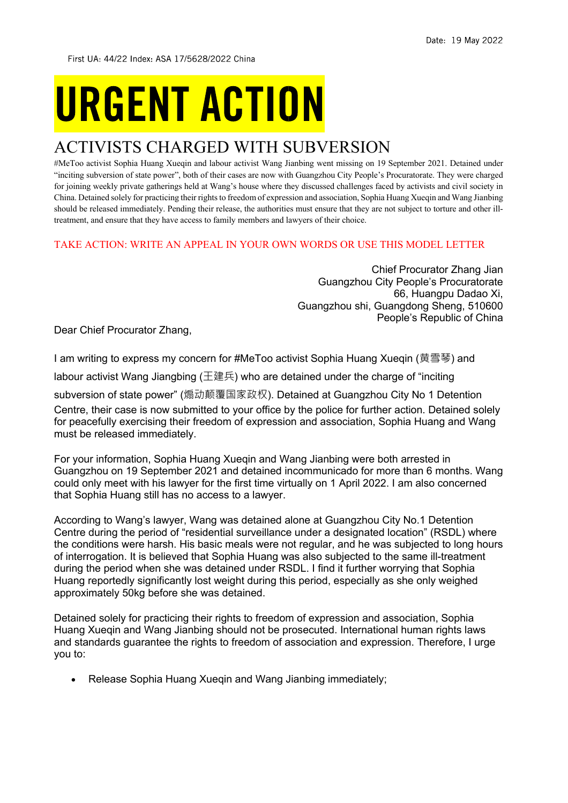First UA: 44/22 Index: ASA 17/5628/2022 China

# **URGENT ACTION**

## ACTIVISTS CHARGED WITH SUBVERSION

#MeToo activist Sophia Huang Xueqin and labour activist Wang Jianbing went missing on 19 September 2021. Detained under "inciting subversion of state power", both of their cases are now with Guangzhou City People's Procuratorate. They were charged for joining weekly private gatherings held at Wang's house where they discussed challenges faced by activists and civil society in China. Detained solely for practicing their rights to freedom of expression and association, Sophia Huang Xueqin and Wang Jianbing should be released immediately. Pending their release, the authorities must ensure that they are not subject to torture and other illtreatment, and ensure that they have access to family members and lawyers of their choice.

### TAKE ACTION: WRITE AN APPEAL IN YOUR OWN WORDS OR USE THIS MODEL LETTER

Chief Procurator Zhang Jian Guangzhou City People's Procuratorate 66, Huangpu Dadao Xi, Guangzhou shi, Guangdong Sheng, 510600 People's Republic of China

Dear Chief Procurator Zhang,

I am writing to express my concern for #MeToo activist Sophia Huang Xueqin (黄雪琴) and

labour activist Wang Jiangbing (王建兵) who are detained under the charge of "inciting

subversion of state power" (煽动颠覆国家政权). Detained at Guangzhou City No 1 Detention Centre, their case is now submitted to your office by the police for further action. Detained solely for peacefully exercising their freedom of expression and association, Sophia Huang and Wang must be released immediately.

For your information, Sophia Huang Xueqin and Wang Jianbing were both arrested in Guangzhou on 19 September 2021 and detained incommunicado for more than 6 months. Wang could only meet with his lawyer for the first time virtually on 1 April 2022. I am also concerned that Sophia Huang still has no access to a lawyer.

According to Wang's lawyer, Wang was detained alone at Guangzhou City No.1 Detention Centre during the period of "residential surveillance under a designated location" (RSDL) where the conditions were harsh. His basic meals were not regular, and he was subjected to long hours of interrogation. It is believed that Sophia Huang was also subjected to the same ill-treatment during the period when she was detained under RSDL. I find it further worrying that Sophia Huang reportedly significantly lost weight during this period, especially as she only weighed approximately 50kg before she was detained.

Detained solely for practicing their rights to freedom of expression and association, Sophia Huang Xueqin and Wang Jianbing should not be prosecuted. International human rights laws and standards guarantee the rights to freedom of association and expression. Therefore, I urge you to:

• Release Sophia Huang Xueqin and Wang Jianbing immediately;